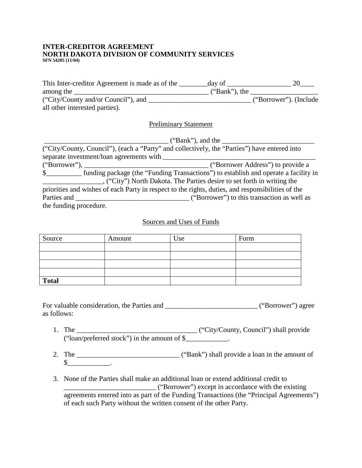#### **INTER-CREDITOR AGREEMENT NORTH DAKOTA DIVISION OF COMMUNITY SERVICES SFN 54205 (11/04)**

| This Inter-creditor Agreement is made as of the | day of           |                        |
|-------------------------------------------------|------------------|------------------------|
| among the                                       | $("Bank")$ , the |                        |
| ("City/County and/or Council"), and             |                  | ("Borrower"). (Include |
| all other interested parties).                  |                  |                        |

# Preliminary Statement

|                        | $("Bank")$ , and the                                                                              |
|------------------------|---------------------------------------------------------------------------------------------------|
|                        | ("City/County, Council"), (each a "Party" and collectively, the "Parties") have entered into      |
|                        |                                                                                                   |
|                        |                                                                                                   |
|                        |                                                                                                   |
|                        | ("City") North Dakota. The Parties desire to set forth in writing the                             |
|                        | priorities and wishes of each Party in respect to the rights, duties, and responsibilities of the |
|                        |                                                                                                   |
| the funding procedure. |                                                                                                   |

### Sources and Uses of Funds

| Source       | Amount | Use | Form |
|--------------|--------|-----|------|
|              |        |     |      |
|              |        |     |      |
|              |        |     |      |
|              |        |     |      |
| <b>Total</b> |        |     |      |

For valuable consideration, the Parties and \_\_\_\_\_\_\_\_\_\_\_\_\_\_\_\_\_\_\_\_\_\_\_\_\_\_ ("Borrower") agree as follows:

- 1. The \_\_\_\_\_\_\_\_\_\_\_\_\_\_\_\_\_\_\_\_\_\_\_\_\_\_\_\_\_\_\_\_\_\_ ("City/County, Council") shall provide ("loan/preferred stock") in the amount of \$\_\_\_\_\_\_\_\_\_\_\_\_.
- 2. The \_\_\_\_\_\_\_\_\_\_\_\_\_\_\_\_\_\_\_\_\_\_\_\_\_\_\_\_\_ ("Bank") shall provide a loan in the amount of  $\frac{\S_{\_}$ .
- 3. None of the Parties shall make an additional loan or extend additional credit to \_\_\_\_\_\_\_\_\_\_\_\_\_\_\_\_\_\_\_\_\_\_\_\_\_\_ ("Borrower") except in accordance with the existing agreements entered into as part of the Funding Transactions (the "Principal Agreements") of each such Party without the written consent of the other Party.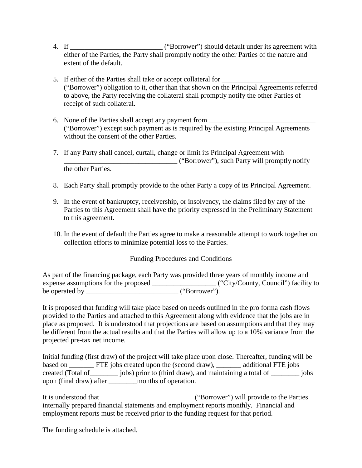- 4. If \_\_\_\_\_\_\_\_\_\_\_\_\_\_\_\_\_\_\_\_\_\_\_\_\_\_ ("Borrower") should default under its agreement with either of the Parties, the Party shall promptly notify the other Parties of the nature and extent of the default.
- 5. If either of the Parties shall take or accept collateral for ("Borrower") obligation to it, other than that shown on the Principal Agreements referred to above, the Party receiving the collateral shall promptly notify the other Parties of receipt of such collateral.
- 6. None of the Parties shall accept any payment from \_\_\_\_\_\_\_\_\_\_\_\_\_\_\_\_\_\_\_\_\_\_\_\_\_\_\_ ("Borrower") except such payment as is required by the existing Principal Agreements without the consent of the other Parties.
- 7. If any Party shall cancel, curtail, change or limit its Principal Agreement with \_\_\_\_\_\_\_\_\_\_\_\_\_\_\_\_\_\_\_\_\_\_\_\_\_\_\_\_\_\_\_\_ ("Borrower"), such Party will promptly notify the other Parties.
- 8. Each Party shall promptly provide to the other Party a copy of its Principal Agreement.
- 9. In the event of bankruptcy, receivership, or insolvency, the claims filed by any of the Parties to this Agreement shall have the priority expressed in the Preliminary Statement to this agreement.
- 10. In the event of default the Parties agree to make a reasonable attempt to work together on collection efforts to minimize potential loss to the Parties.

# Funding Procedures and Conditions

As part of the financing package, each Party was provided three years of monthly income and expense assumptions for the proposed \_\_\_\_\_\_\_\_\_\_\_\_\_\_\_\_\_\_\_\_\_\_\_\_("City/County, Council") facility to be operated by \_\_\_\_\_\_\_\_\_\_\_\_\_\_\_\_\_\_\_\_\_\_\_\_\_\_ ("Borrower").

It is proposed that funding will take place based on needs outlined in the pro forma cash flows provided to the Parties and attached to this Agreement along with evidence that the jobs are in place as proposed. It is understood that projections are based on assumptions and that they may be different from the actual results and that the Parties will allow up to a 10% variance from the projected pre-tax net income.

Initial funding (first draw) of the project will take place upon close. Thereafter, funding will be based on \_\_\_\_\_\_\_ FTE jobs created upon the (second draw), \_\_\_\_\_\_ additional FTE jobs created (Total of\_\_\_\_\_\_\_\_ jobs) prior to (third draw), and maintaining a total of \_\_\_\_\_\_\_\_ jobs upon (final draw) after \_\_\_\_\_\_\_\_months of operation.

It is understood that \_\_\_\_\_\_\_\_\_\_\_\_\_\_\_\_\_\_\_\_\_\_\_\_\_\_ ("Borrower") will provide to the Parties internally prepared financial statements and employment reports monthly. Financial and employment reports must be received prior to the funding request for that period.

The funding schedule is attached.